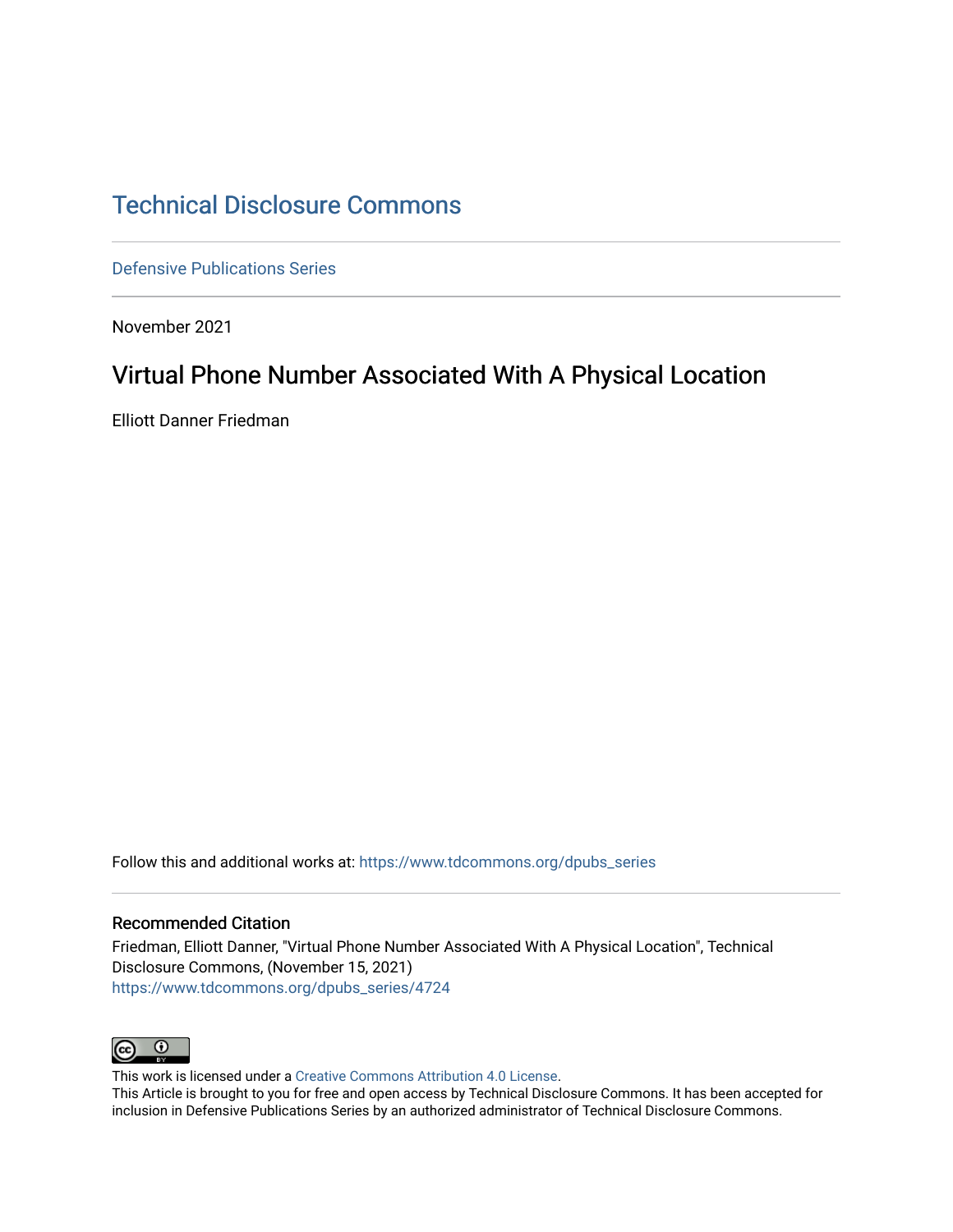# [Technical Disclosure Commons](https://www.tdcommons.org/)

[Defensive Publications Series](https://www.tdcommons.org/dpubs_series)

November 2021

# Virtual Phone Number Associated With A Physical Location

Elliott Danner Friedman

Follow this and additional works at: [https://www.tdcommons.org/dpubs\\_series](https://www.tdcommons.org/dpubs_series?utm_source=www.tdcommons.org%2Fdpubs_series%2F4724&utm_medium=PDF&utm_campaign=PDFCoverPages) 

## Recommended Citation

Friedman, Elliott Danner, "Virtual Phone Number Associated With A Physical Location", Technical Disclosure Commons, (November 15, 2021) [https://www.tdcommons.org/dpubs\\_series/4724](https://www.tdcommons.org/dpubs_series/4724?utm_source=www.tdcommons.org%2Fdpubs_series%2F4724&utm_medium=PDF&utm_campaign=PDFCoverPages)



This work is licensed under a [Creative Commons Attribution 4.0 License](http://creativecommons.org/licenses/by/4.0/deed.en_US).

This Article is brought to you for free and open access by Technical Disclosure Commons. It has been accepted for inclusion in Defensive Publications Series by an authorized administrator of Technical Disclosure Commons.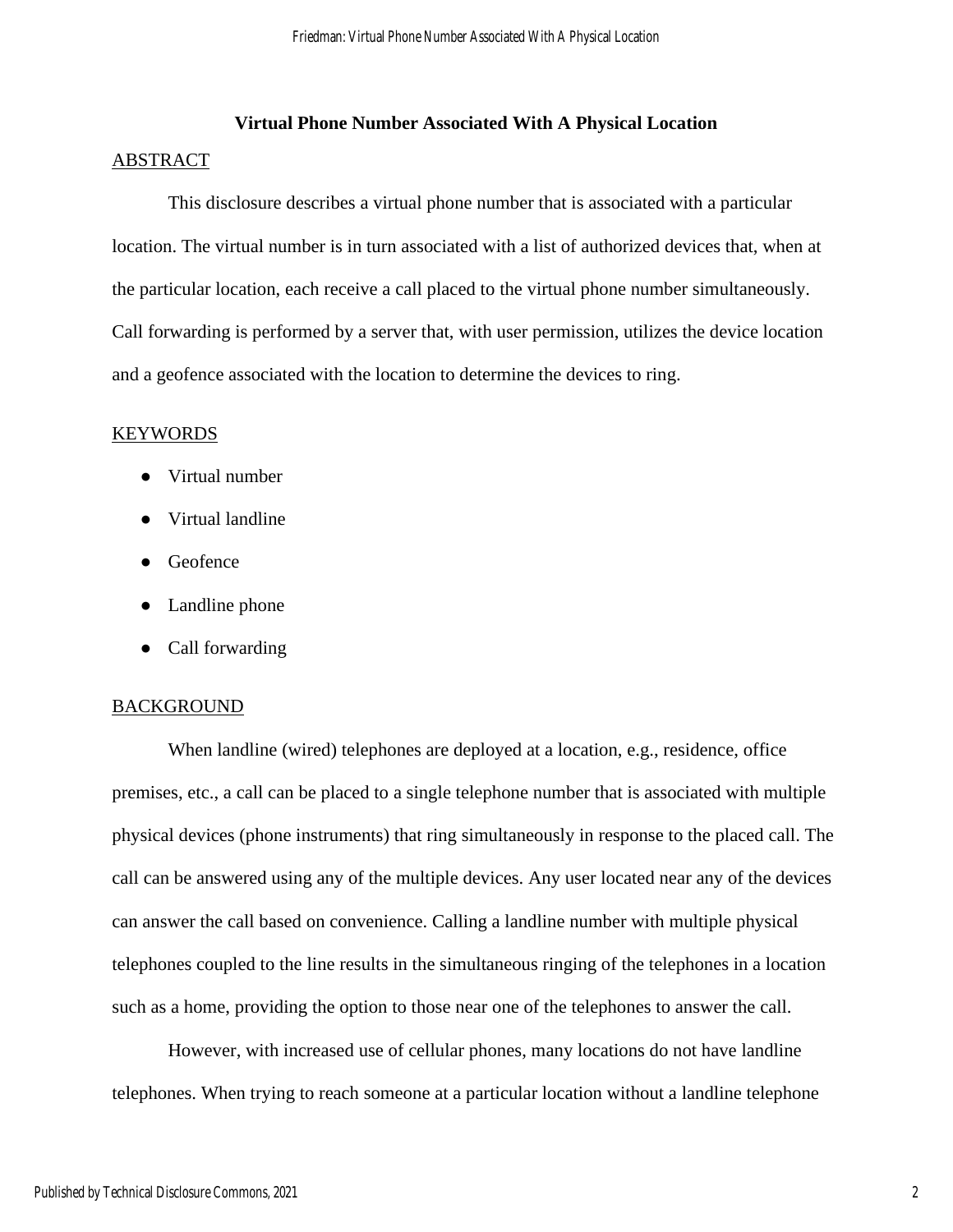# **Virtual Phone Number Associated With A Physical Location**

#### ABSTRACT

This disclosure describes a virtual phone number that is associated with a particular location. The virtual number is in turn associated with a list of authorized devices that, when at the particular location, each receive a call placed to the virtual phone number simultaneously. Call forwarding is performed by a server that, with user permission, utilizes the device location and a geofence associated with the location to determine the devices to ring.

#### KEYWORDS

- Virtual number
- Virtual landline
- Geofence
- Landline phone
- Call forwarding

#### **BACKGROUND**

When landline (wired) telephones are deployed at a location, e.g., residence, office premises, etc., a call can be placed to a single telephone number that is associated with multiple physical devices (phone instruments) that ring simultaneously in response to the placed call. The call can be answered using any of the multiple devices. Any user located near any of the devices can answer the call based on convenience. Calling a landline number with multiple physical telephones coupled to the line results in the simultaneous ringing of the telephones in a location such as a home, providing the option to those near one of the telephones to answer the call.

However, with increased use of cellular phones, many locations do not have landline telephones. When trying to reach someone at a particular location without a landline telephone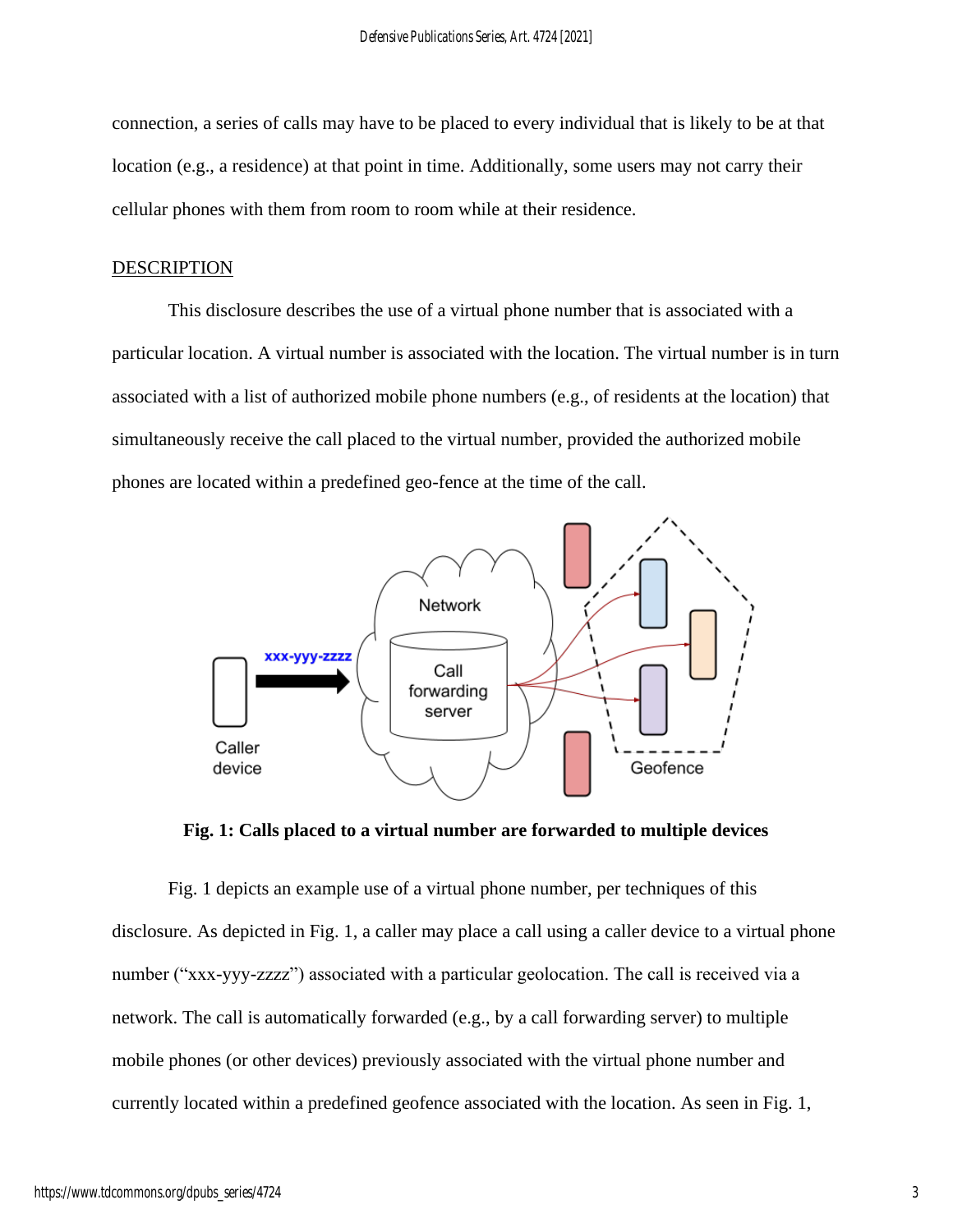connection, a series of calls may have to be placed to every individual that is likely to be at that location (e.g., a residence) at that point in time. Additionally, some users may not carry their cellular phones with them from room to room while at their residence.

### **DESCRIPTION**

This disclosure describes the use of a virtual phone number that is associated with a particular location. A virtual number is associated with the location. The virtual number is in turn associated with a list of authorized mobile phone numbers (e.g., of residents at the location) that simultaneously receive the call placed to the virtual number, provided the authorized mobile phones are located within a predefined geo-fence at the time of the call.



**Fig. 1: Calls placed to a virtual number are forwarded to multiple devices**

Fig. 1 depicts an example use of a virtual phone number, per techniques of this disclosure. As depicted in Fig. 1, a caller may place a call using a caller device to a virtual phone number ("xxx-yyy-zzzz") associated with a particular geolocation. The call is received via a network. The call is automatically forwarded (e.g., by a call forwarding server) to multiple mobile phones (or other devices) previously associated with the virtual phone number and currently located within a predefined geofence associated with the location. As seen in Fig. 1,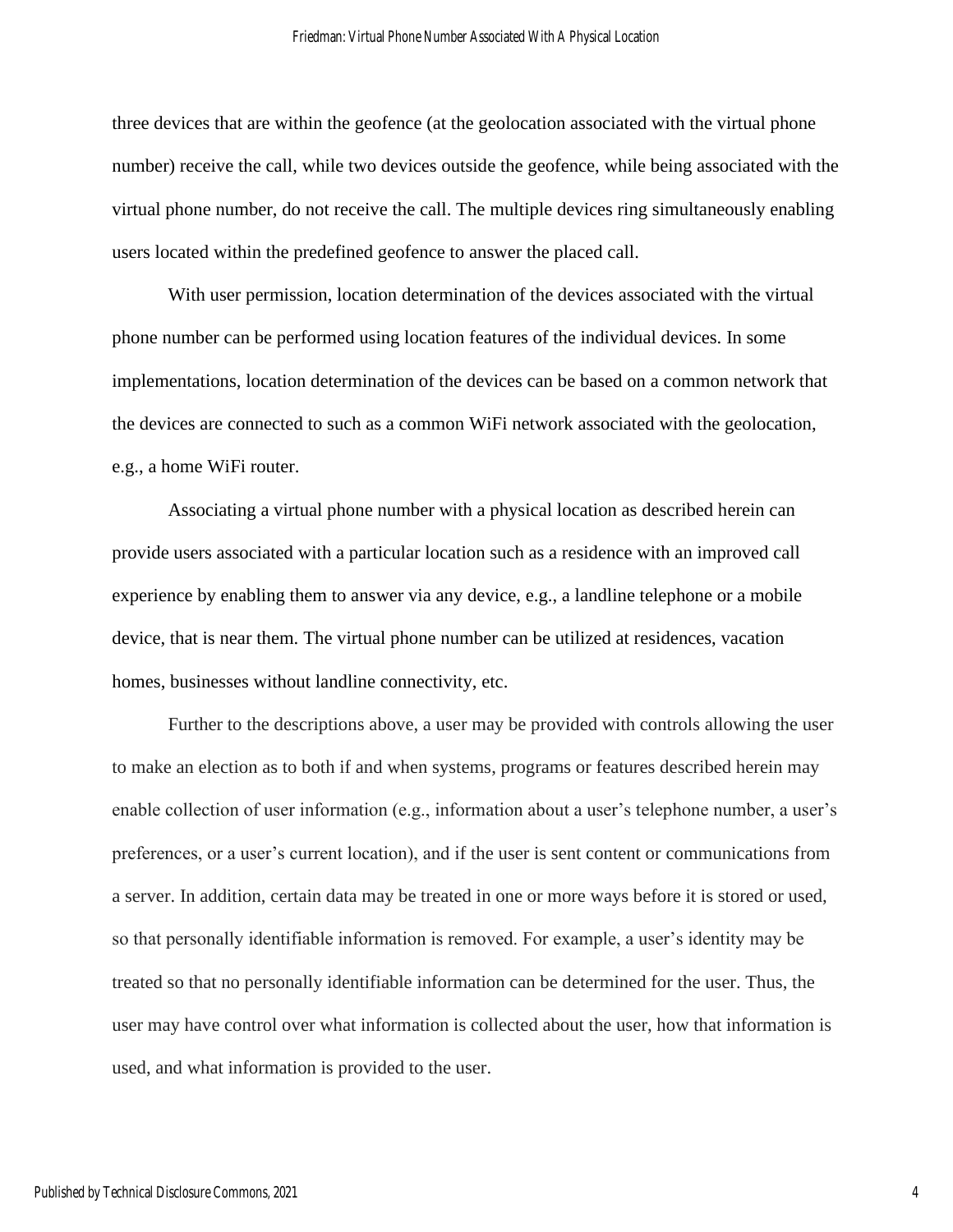three devices that are within the geofence (at the geolocation associated with the virtual phone number) receive the call, while two devices outside the geofence, while being associated with the virtual phone number, do not receive the call. The multiple devices ring simultaneously enabling users located within the predefined geofence to answer the placed call.

With user permission, location determination of the devices associated with the virtual phone number can be performed using location features of the individual devices. In some implementations, location determination of the devices can be based on a common network that the devices are connected to such as a common WiFi network associated with the geolocation, e.g., a home WiFi router.

Associating a virtual phone number with a physical location as described herein can provide users associated with a particular location such as a residence with an improved call experience by enabling them to answer via any device, e.g., a landline telephone or a mobile device, that is near them. The virtual phone number can be utilized at residences, vacation homes, businesses without landline connectivity, etc.

Further to the descriptions above, a user may be provided with controls allowing the user to make an election as to both if and when systems, programs or features described herein may enable collection of user information (e.g., information about a user's telephone number, a user's preferences, or a user's current location), and if the user is sent content or communications from a server. In addition, certain data may be treated in one or more ways before it is stored or used, so that personally identifiable information is removed. For example, a user's identity may be treated so that no personally identifiable information can be determined for the user. Thus, the user may have control over what information is collected about the user, how that information is used, and what information is provided to the user.